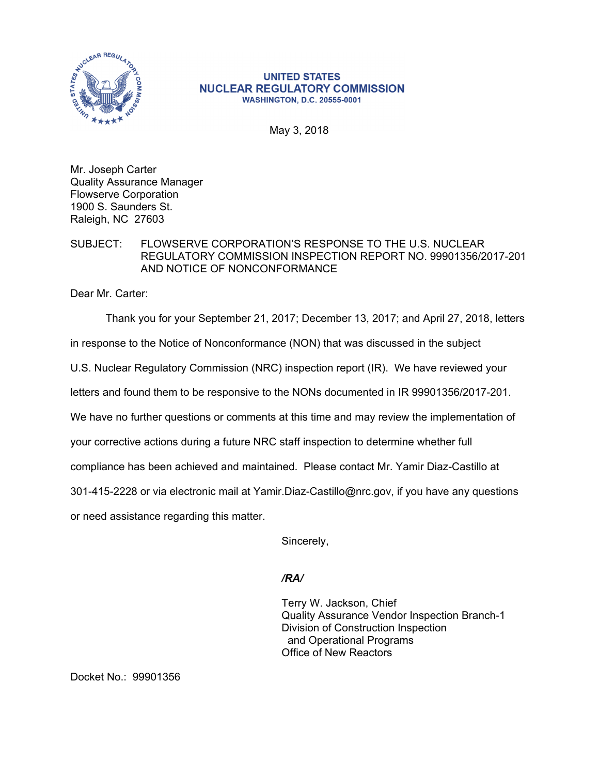

## **UNITED STATES NUCLEAR REGULATORY COMMISSION WASHINGTON, D.C. 20555-0001**

May 3, 2018

Mr. Joseph Carter Quality Assurance Manager Flowserve Corporation 1900 S. Saunders St. Raleigh, NC 27603

## SUBJECT: FLOWSERVE CORPORATION'S RESPONSE TO THE U.S. NUCLEAR REGULATORY COMMISSION INSPECTION REPORT NO. 99901356/2017-201 AND NOTICE OF NONCONFORMANCE

Dear Mr. Carter:

Thank you for your September 21, 2017; December 13, 2017; and April 27, 2018, letters

in response to the Notice of Nonconformance (NON) that was discussed in the subject

U.S. Nuclear Regulatory Commission (NRC) inspection report (IR). We have reviewed your

letters and found them to be responsive to the NONs documented in IR 99901356/2017-201.

We have no further questions or comments at this time and may review the implementation of

your corrective actions during a future NRC staff inspection to determine whether full

compliance has been achieved and maintained. Please contact Mr. Yamir Diaz-Castillo at

301-415-2228 or via electronic mail at Yamir.Diaz-Castillo@nrc.gov, if you have any questions

or need assistance regarding this matter.

Sincerely,

## */RA/*

Terry W. Jackson, Chief Quality Assurance Vendor Inspection Branch-1 Division of Construction Inspection and Operational Programs Office of New Reactors

Docket No.: 99901356